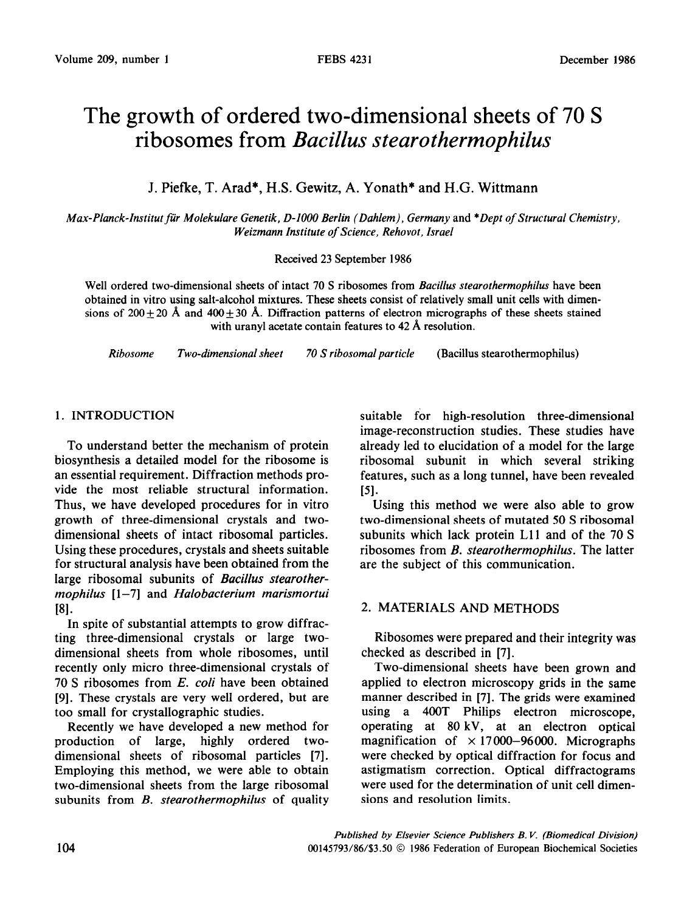# The growth of ordered two-dimensional sheets of 70 S ribosomes from Bacillus *stearothermophilus*

J. Piefke, T. Arad\*, H.S. Gewitz, A. Yonath\* and H.G. Wittmann

*Max-Planck-Inslitut fir Molekulare Genetik, D-1000 Berlin (Dahlem), Germany* and *\*Dept of Structural Chemistry, Weizmann Institute of Science, Rehovot, Israel* 

#### Received 23 September 1986

Well ordered two-dimensional sheets of intact 70 S ribosomes from *Bacillus stearothermophilus* have been obtained in vitro using salt-alcohol mixtures. These sheets consist of relatively small unit cells with dimensions of 200  $\pm$  20 Å and 400  $\pm$  30 Å. Diffraction patterns of electron micrographs of these sheets stained with uranyl acetate contain features to 42 Å resolution.

*Ribosome Two-dimensional sheet 70 S ribosomal particle* (Bacillus stearothermophilus)

## 1. INTRODUCTION

To understand better the mechanism of protein biosynthesis a detailed model for the ribosome is an essential requirement. Diffraction methods provide the most reliable structural information. Thus, we have developed procedures for in vitro growth of three-dimensional crystals and twodimensional sheets of intact ribosomal particles. Using these procedures, crystals and sheets suitable for structural analysis have been obtained from the large ribosomal subunits of *Bacillus stearothermophilus* [l-7] and *Halobacterium marismortui*  181.

In spite of substantial attempts to grow diffracting three-dimensional crystals or large twodimensional sheets from whole ribosomes, until recently only micro three-dimensional crystals of 70 S ribosomes from *E. coli* have been obtained [9]. These crystals are very well ordered, but are too small for crystallographic studies.

Recently we have developed a new method for production of large, highly ordered twodimensional sheets of ribosomal particles [7]. Employing this method, we were able to obtain two-dimensional sheets from the large ribosomal subunits from *B. stearothermophilus* of quality

suitable for high-resolution three-dimensional image-reconstruction studies. These studies have already led to elucidation of a model for the large ribosomal subunit in which several striking features, such as a long tunnel, have been revealed  $[5]$ .

Using this method we were also able to grow two-dimensional sheets of mutated 50 S ribosomal subunits which lack protein Lll and of the 70 S ribosomes from *B. stearothermophilus.* The latter are the subject of this communication.

# *2.* MATERIALS AND METHODS

Ribosomes were prepared and their integrity was checked as described in [7].

Two-dimensional sheets have been grown and applied to electron microscopy grids in the same manner described in [7]. The grids were examined using a 400T Philips electron microscope, operating at 80 kV, at an electron optical magnification of *x* 17000-96000. Micrographs were checked by optical diffraction for focus and astigmatism correction. Optical diffractograms were used for the determination of unit cell dimensions and resolution limits.

*Published by Elsevier Science Publishers B. V. (Biomedical Division) 00145793/86/\$3.50 0 1986* Federation of European Biochemical Societies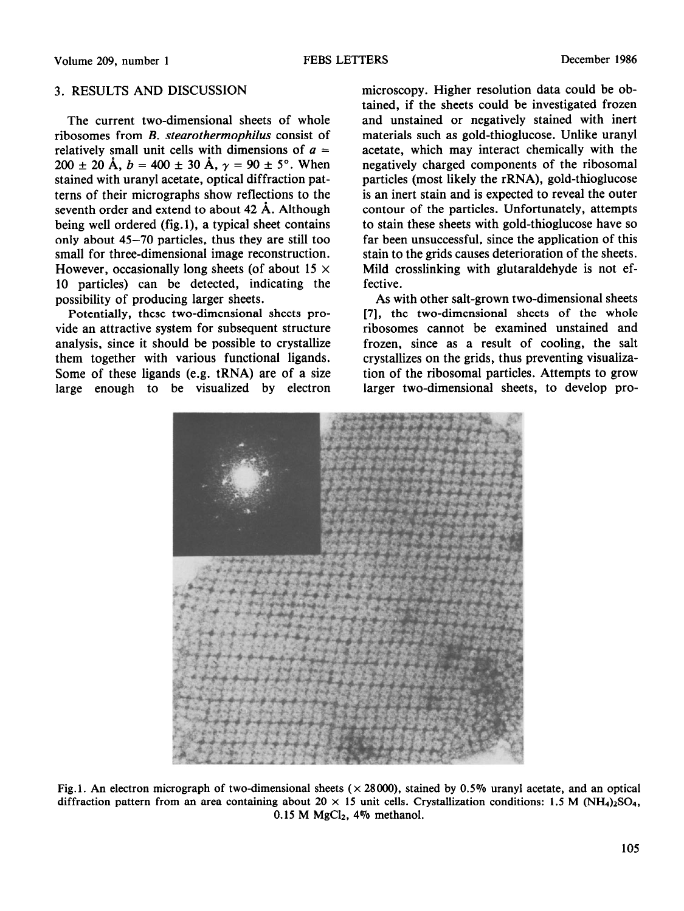#### 3. RESULTS AND DISCUSSION

The current two-dimensional sheets of whole ribosomes from *B. stearothermophilus* consist of relatively small unit cells with dimensions of  $a =$  $200 \pm 20 \text{ Å}, b = 400 \pm 30 \text{ Å}, \gamma = 90 \pm 5^{\circ}.$  When stained with uranyl acetate, optical diffraction patterns of their micrographs show reflections to the seventh order and extend to about 42 Å. Although being well ordered (fig.l), a typical sheet contains only about 45-70 particles, thus they are still too small for three-dimensional image reconstruction. However, occasionally long sheets (of about 15  $\times$ 10 particles) can be detected, indicating the possibility of producing larger sheets.

Potentially, these two-dimensional sheets provide an attractive system for subsequent structure analysis, since it should be possible to crystallize them together with various functional ligands. Some of these ligands (e.g. tRNA) are of a size large enough to be visualized by electron microscopy. Higher resolution data could be obtained, if the sheets could be investigated frozen and unstained or negatively stained with inert materials such as gold-thioglucose. Unlike uranyl acetate, which may interact chemically with the negatively charged components of the ribosomal particles (most likely the rRNA), gold-thioglucose is an inert stain and is expected to reveal the outer contour of the particles. Unfortunately, attempts to stain these sheets with gold-thioglucose have so far been unsuccessful, since the application of this stain to the grids causes deterioration of the sheets. Mild crosslinking with glutaraldehyde is not effective.

As with other salt-grown two-dimensional sheets [7], the two-dimensional sheets of the whole ribosomes cannot be examined unstained and frozen, since as a result of cooling, the salt crystallizes on the grids, thus preventing visualization of the ribosomal particles. Attempts to grow larger two-dimensional sheets, to develop pro-



Fig.1. An electron micrograph of two-dimensional sheets  $(\times 28000)$ , stained by 0.5% uranyl acetate, and an optical diffraction pattern from an area containing about  $20 \times 15$  unit cells. Crystallization conditions: 1.5 M (NH<sub>4</sub>)<sub>2</sub>SO<sub>4</sub>,  $0.15$  M MgCl<sub>2</sub>, 4% methanol.